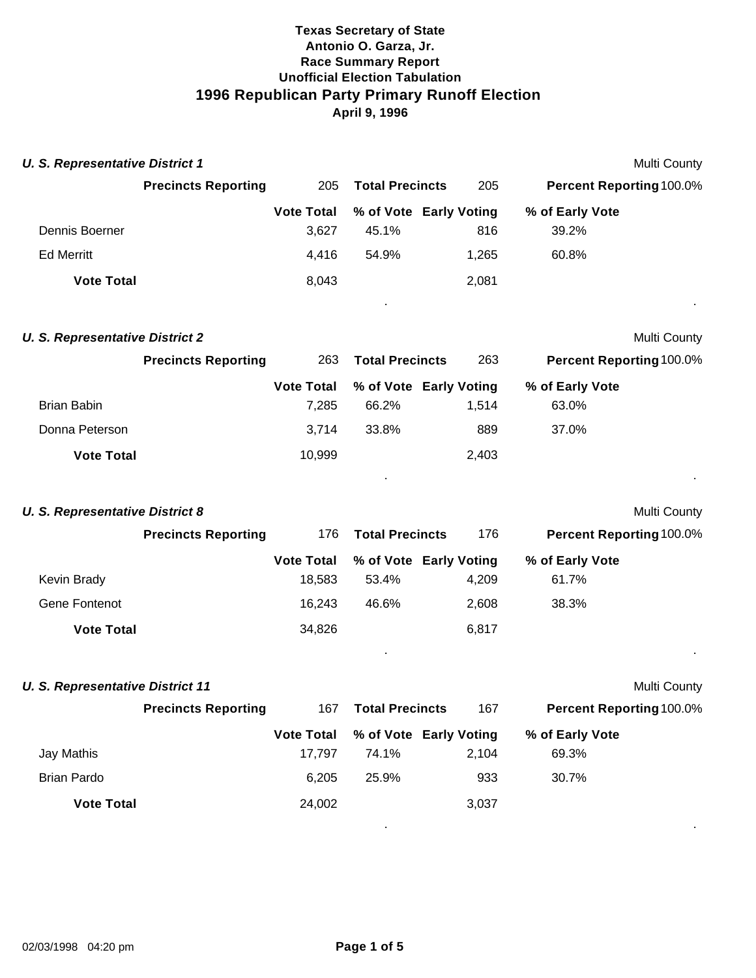| <b>U. S. Representative District 1</b> |                            |                   |                        |                        | Multi County                    |  |
|----------------------------------------|----------------------------|-------------------|------------------------|------------------------|---------------------------------|--|
|                                        | <b>Precincts Reporting</b> | 205               | <b>Total Precincts</b> | 205                    | <b>Percent Reporting 100.0%</b> |  |
|                                        |                            | <b>Vote Total</b> |                        | % of Vote Early Voting | % of Early Vote                 |  |
| Dennis Boerner                         |                            | 3,627             | 45.1%                  | 816                    | 39.2%                           |  |
| <b>Ed Merritt</b>                      |                            | 4,416             | 54.9%                  | 1,265                  | 60.8%                           |  |
| <b>Vote Total</b>                      |                            | 8,043             |                        | 2,081                  |                                 |  |
|                                        |                            |                   |                        |                        |                                 |  |

#### **U. S. Representative District 2** Multi County

|                   | <b>Precincts Reporting</b> | 263               | <b>Total Precincts</b> | 263                    | <b>Percent Reporting 100.0%</b> |
|-------------------|----------------------------|-------------------|------------------------|------------------------|---------------------------------|
|                   |                            | <b>Vote Total</b> |                        | % of Vote Early Voting | % of Early Vote                 |
| Brian Babin       |                            | 7.285             | 66.2%                  | 1.514                  | 63.0%                           |
| Donna Peterson    |                            | 3.714             | 33.8%                  | 889                    | 37.0%                           |
| <b>Vote Total</b> |                            | 10,999            |                        | 2,403                  |                                 |

. .

. .

. .

#### **U. S. Representative District 8** Multi County

|                   | <b>Precincts Reporting</b> | 176               | <b>Total Precincts</b> | 176   | <b>Percent Reporting 100.0%</b> |
|-------------------|----------------------------|-------------------|------------------------|-------|---------------------------------|
|                   |                            | <b>Vote Total</b> | % of Vote Early Voting |       | % of Early Vote                 |
| Kevin Brady       |                            | 18.583            | 53.4%                  | 4.209 | 61.7%                           |
| Gene Fontenot     |                            | 16.243            | 46.6%                  | 2,608 | 38.3%                           |
| <b>Vote Total</b> |                            | 34,826            |                        | 6,817 |                                 |

# **U. S. Representative District 11** Multi County

|                    | <b>Precincts Reporting</b> | 167               | <b>Total Precincts</b> | 167                    | <b>Percent Reporting 100.0%</b> |  |
|--------------------|----------------------------|-------------------|------------------------|------------------------|---------------------------------|--|
|                    |                            | <b>Vote Total</b> |                        | % of Vote Early Voting | % of Early Vote                 |  |
| Jay Mathis         |                            | 17.797            | 74.1%                  | 2,104                  | 69.3%                           |  |
| <b>Brian Pardo</b> |                            | 6.205             | 25.9%                  | 933                    | 30.7%                           |  |
| <b>Vote Total</b>  |                            | 24,002            |                        | 3,037                  |                                 |  |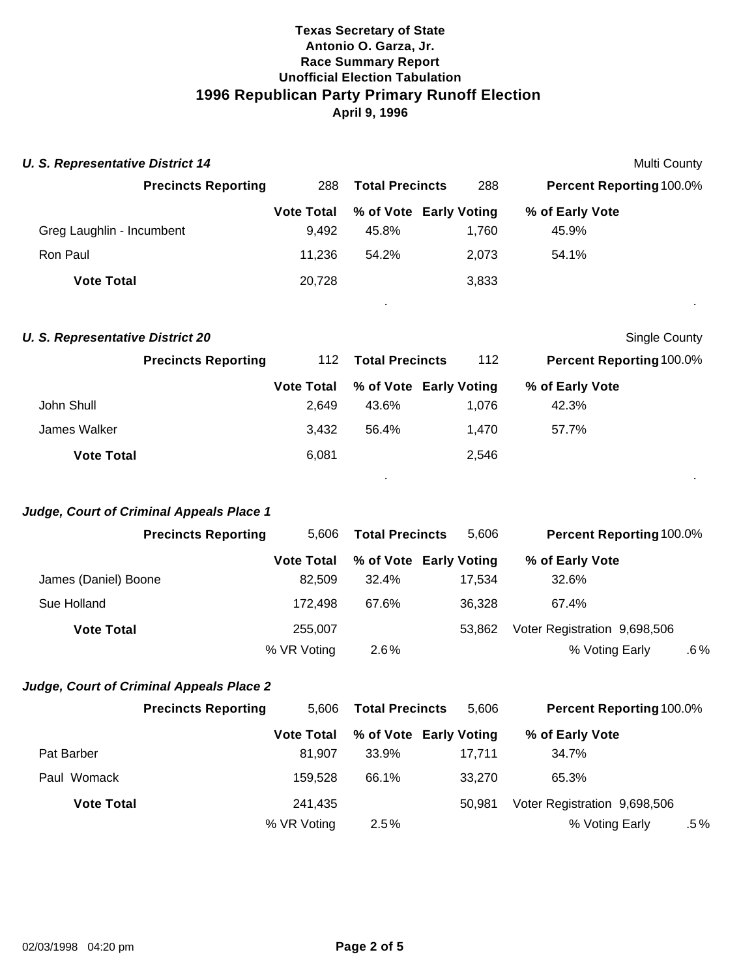| <b>U. S. Representative District 14</b> |                   |                        |                        | Multi County                    |         |
|-----------------------------------------|-------------------|------------------------|------------------------|---------------------------------|---------|
| <b>Precincts Reporting</b>              | 288               | <b>Total Precincts</b> | 288                    | <b>Percent Reporting 100.0%</b> |         |
|                                         | <b>Vote Total</b> |                        | % of Vote Early Voting | % of Early Vote                 |         |
| Greg Laughlin - Incumbent               | 9.492             | 45.8%                  | 1.760                  | 45.9%                           |         |
| Ron Paul                                | 11,236            | 54.2%                  | 2,073                  | 54.1%                           |         |
| <b>Vote Total</b>                       | 20,728            |                        | 3,833                  |                                 |         |
|                                         |                   |                        |                        |                                 | $\cdot$ |

|  | <b>U. S. Representative District 20</b> |  |
|--|-----------------------------------------|--|
|--|-----------------------------------------|--|

| S. Representative District 20 |                            |                   |                        |                        |                                 | Single County |
|-------------------------------|----------------------------|-------------------|------------------------|------------------------|---------------------------------|---------------|
|                               | <b>Precincts Reporting</b> | 112               | <b>Total Precincts</b> | 112                    | <b>Percent Reporting 100.0%</b> |               |
|                               |                            | <b>Vote Total</b> |                        | % of Vote Early Voting | % of Early Vote                 |               |
| John Shull                    |                            | 2.649             | 43.6%                  | 1.076                  | 42.3%                           |               |
| James Walker                  |                            | 3.432             | 56.4%                  | 1.470                  | 57.7%                           |               |
| <b>Vote Total</b>             |                            | 6,081             |                        | 2,546                  |                                 |               |

. .

#### *Judge, Court of Criminal Appeals Place 1*

|                      | <b>Precincts Reporting</b> | 5.606             | <b>Total Precincts</b> | 5.606                  | <b>Percent Reporting 100.0%</b> |     |
|----------------------|----------------------------|-------------------|------------------------|------------------------|---------------------------------|-----|
|                      |                            | <b>Vote Total</b> |                        | % of Vote Early Voting | % of Early Vote                 |     |
| James (Daniel) Boone |                            | 82.509            | 32.4%                  | 17.534                 | 32.6%                           |     |
| Sue Holland          |                            | 172.498           | 67.6%                  | 36.328                 | 67.4%                           |     |
| <b>Vote Total</b>    |                            | 255,007           |                        | 53.862                 | Voter Registration 9,698,506    |     |
|                      |                            | % VR Voting       | $2.6\%$                |                        | % Voting Early                  | .6% |

## *Judge, Court of Criminal Appeals Place 2*

|                   | <b>Precincts Reporting</b> | 5.606             | <b>Total Precincts</b> | 5.606                  | <b>Percent Reporting 100.0%</b> |      |
|-------------------|----------------------------|-------------------|------------------------|------------------------|---------------------------------|------|
|                   |                            | <b>Vote Total</b> |                        | % of Vote Early Voting | % of Early Vote                 |      |
| Pat Barber        |                            | 81.907            | 33.9%                  | 17.711                 | 34.7%                           |      |
| Paul Womack       |                            | 159.528           | 66.1%                  | 33.270                 | 65.3%                           |      |
| <b>Vote Total</b> |                            | 241.435           |                        | 50.981                 | Voter Registration 9,698,506    |      |
|                   |                            | % VR Voting       | 2.5%                   |                        | % Voting Early                  | .5 % |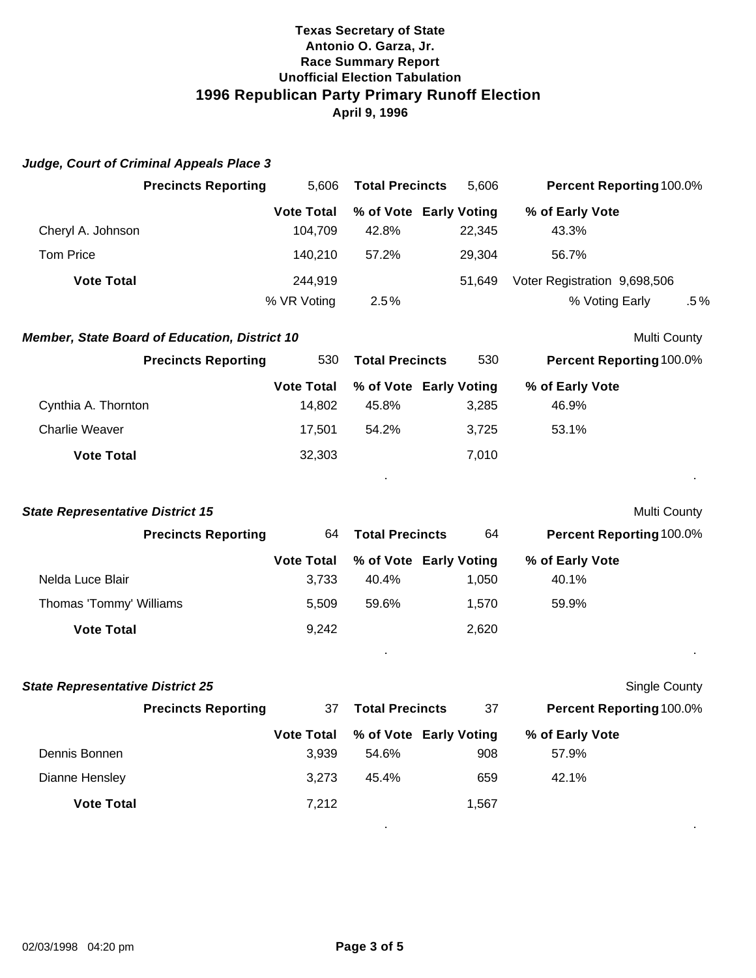|                                         | <b>Precincts Reporting</b>                           | 5,606                        | <b>Total Precincts</b> | 5,606                            |                                                | Percent Reporting 100.0% |
|-----------------------------------------|------------------------------------------------------|------------------------------|------------------------|----------------------------------|------------------------------------------------|--------------------------|
| Cheryl A. Johnson                       |                                                      | <b>Vote Total</b><br>104,709 | 42.8%                  | % of Vote Early Voting<br>22,345 | % of Early Vote<br>43.3%                       |                          |
| <b>Tom Price</b>                        |                                                      | 140,210                      | 57.2%                  | 29,304                           | 56.7%                                          |                          |
|                                         |                                                      |                              |                        |                                  |                                                |                          |
| <b>Vote Total</b>                       |                                                      | 244,919<br>% VR Voting       | 2.5%                   | 51,649                           | Voter Registration 9,698,506<br>% Voting Early | $.5\%$                   |
|                                         | <b>Member, State Board of Education, District 10</b> |                              |                        |                                  |                                                | Multi County             |
|                                         | <b>Precincts Reporting</b>                           | 530                          | <b>Total Precincts</b> | 530                              |                                                | Percent Reporting 100.0% |
| Cynthia A. Thornton                     |                                                      | <b>Vote Total</b><br>14,802  | 45.8%                  | % of Vote Early Voting<br>3,285  | % of Early Vote<br>46.9%                       |                          |
| <b>Charlie Weaver</b>                   |                                                      | 17,501                       | 54.2%                  | 3,725                            | 53.1%                                          |                          |
| <b>Vote Total</b>                       |                                                      | 32,303                       |                        | 7,010                            |                                                |                          |
| <b>State Representative District 15</b> |                                                      |                              |                        |                                  |                                                | Multi County             |
|                                         | <b>Precincts Reporting</b>                           | 64                           | <b>Total Precincts</b> | 64                               |                                                | Percent Reporting 100.0% |
|                                         |                                                      | <b>Vote Total</b>            |                        | % of Vote Early Voting           | % of Early Vote                                |                          |
| Nelda Luce Blair                        |                                                      | 3,733                        | 40.4%                  | 1,050                            | 40.1%                                          |                          |
| Thomas 'Tommy' Williams                 |                                                      | 5,509                        | 59.6%                  | 1,570                            | 59.9%                                          |                          |
| <b>Vote Total</b>                       |                                                      | 9,242                        |                        | 2,620                            |                                                |                          |
| <b>State Representative District 25</b> |                                                      |                              |                        |                                  |                                                | Single County            |
|                                         | <b>Precincts Reporting</b>                           | 37                           | <b>Total Precincts</b> | 37                               |                                                | Percent Reporting 100.0% |
|                                         |                                                      | <b>Vote Total</b>            |                        | % of Vote Early Voting           | % of Early Vote                                |                          |
| Dennis Bonnen                           |                                                      | 3,939                        | 54.6%                  | 908                              | 57.9%                                          |                          |
| Dianne Hensley                          |                                                      | 3,273                        | 45.4%                  | 659                              | 42.1%                                          |                          |
| <b>Vote Total</b>                       |                                                      | 7,212                        |                        | 1,567                            |                                                |                          |
|                                         |                                                      |                              |                        |                                  |                                                |                          |

*Judge, Court of Criminal Appeals Place 3*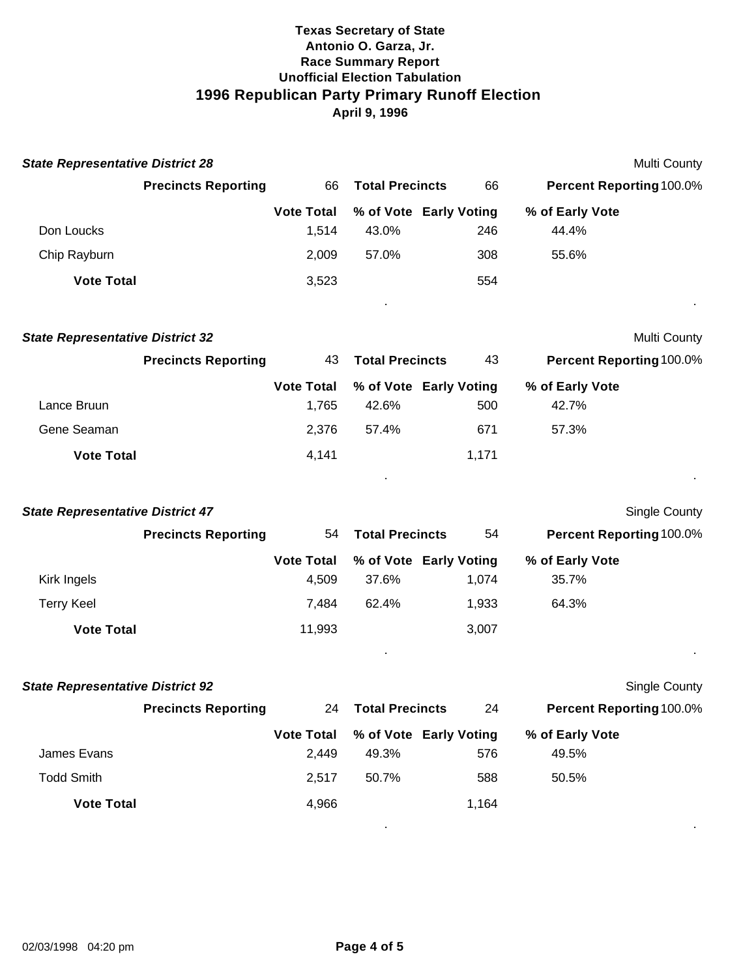| <b>State Representative District 28</b> |                            |                            |                        |                               |                          | Multi County         |
|-----------------------------------------|----------------------------|----------------------------|------------------------|-------------------------------|--------------------------|----------------------|
|                                         | <b>Precincts Reporting</b> | 66                         | <b>Total Precincts</b> | 66                            | Percent Reporting 100.0% |                      |
|                                         |                            | <b>Vote Total</b>          |                        | % of Vote Early Voting        | % of Early Vote          |                      |
| Don Loucks                              |                            | 1,514                      | 43.0%                  | 246                           | 44.4%                    |                      |
| Chip Rayburn                            |                            | 2,009                      | 57.0%                  | 308                           | 55.6%                    |                      |
| <b>Vote Total</b>                       |                            | 3,523                      |                        | 554                           |                          |                      |
| <b>State Representative District 32</b> |                            |                            |                        |                               |                          | Multi County         |
|                                         | <b>Precincts Reporting</b> | 43                         | <b>Total Precincts</b> | 43                            | Percent Reporting 100.0% |                      |
| Lance Bruun                             |                            | <b>Vote Total</b><br>1,765 | 42.6%                  | % of Vote Early Voting<br>500 | % of Early Vote<br>42.7% |                      |
| Gene Seaman                             |                            | 2,376                      | 57.4%                  | 671                           | 57.3%                    |                      |
| <b>Vote Total</b>                       |                            | 4,141                      |                        | 1,171                         |                          |                      |
| <b>State Representative District 47</b> |                            |                            |                        |                               |                          | <b>Single County</b> |
|                                         | <b>Precincts Reporting</b> | 54                         | <b>Total Precincts</b> | 54                            | Percent Reporting 100.0% |                      |
|                                         |                            | <b>Vote Total</b>          |                        | % of Vote Early Voting        | % of Early Vote          |                      |
| Kirk Ingels                             |                            | 4,509                      | 37.6%                  | 1,074                         | 35.7%                    |                      |
| <b>Terry Keel</b>                       |                            | 7,484                      | 62.4%                  | 1,933                         | 64.3%                    |                      |
| <b>Vote Total</b>                       |                            | 11,993                     |                        | 3,007                         |                          |                      |
| <b>State Representative District 92</b> |                            |                            |                        |                               |                          | <b>Single County</b> |
|                                         | <b>Precincts Reporting</b> | 24                         | <b>Total Precincts</b> | 24                            | Percent Reporting 100.0% |                      |
|                                         |                            | <b>Vote Total</b>          |                        | % of Vote Early Voting        | % of Early Vote          |                      |
| James Evans                             |                            | 2,449                      | 49.3%                  | 576                           | 49.5%                    |                      |
| <b>Todd Smith</b>                       |                            | 2,517                      | 50.7%                  | 588                           | 50.5%                    |                      |
| <b>Vote Total</b>                       |                            | 4,966                      |                        | 1,164                         |                          |                      |